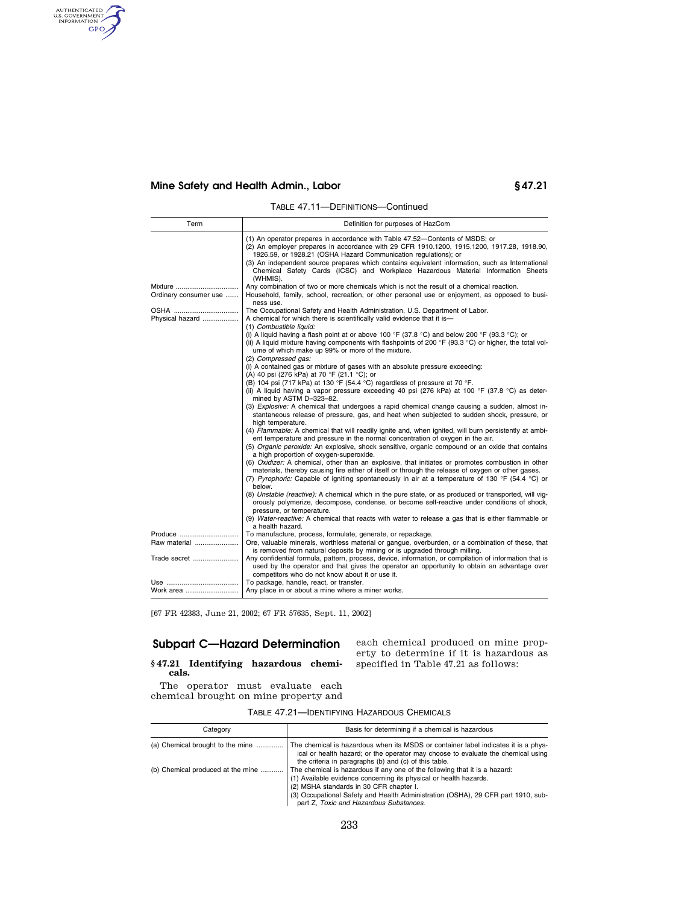# **Mine Safety and Health Admin., Labor § 47.21**

AUTHENTICATED

TABLE 47.11—DEFINITIONS—Continued

| Term                             | Definition for purposes of HazCom                                                                                                                                                                                                                                                                                                                                                                                                                |  |  |
|----------------------------------|--------------------------------------------------------------------------------------------------------------------------------------------------------------------------------------------------------------------------------------------------------------------------------------------------------------------------------------------------------------------------------------------------------------------------------------------------|--|--|
|                                  | (1) An operator prepares in accordance with Table 47.52—Contents of MSDS; or<br>(2) An employer prepares in accordance with 29 CFR 1910.1200, 1915.1200, 1917.28, 1918.90,<br>1926.59, or 1928.21 (OSHA Hazard Communication regulations); or<br>(3) An independent source prepares which contains equivalent information, such as International<br>Chemical Safety Cards (ICSC) and Workplace Hazardous Material Information Sheets<br>(WHMIS). |  |  |
| Mixture<br>Ordinary consumer use | Any combination of two or more chemicals which is not the result of a chemical reaction.<br>Household, family, school, recreation, or other personal use or enjoyment, as opposed to busi-<br>ness use.                                                                                                                                                                                                                                          |  |  |
| Physical hazard                  | The Occupational Safety and Health Administration, U.S. Department of Labor.<br>A chemical for which there is scientifically valid evidence that it is-<br>(1) Combustible liquid:                                                                                                                                                                                                                                                               |  |  |
|                                  | (i) A liquid having a flash point at or above 100 °F (37.8 °C) and below 200 °F (93.3 °C); or<br>(ii) A liquid mixture having components with flashpoints of 200 $\degree$ F (93.3 $\degree$ C) or higher, the total vol-<br>ume of which make up 99% or more of the mixture.                                                                                                                                                                    |  |  |
|                                  | (2) Compressed gas:<br>(i) A contained gas or mixture of gases with an absolute pressure exceeding:<br>(A) 40 psi (276 kPa) at 70 °F (21.1 °C); or                                                                                                                                                                                                                                                                                               |  |  |
|                                  | (B) 104 psi (717 kPa) at 130 °F (54.4 °C) regardless of pressure at 70 °F.<br>(ii) A liquid having a vapor pressure exceeding 40 psi (276 kPa) at 100 $\degree$ F (37.8 $\degree$ C) as deter-<br>mined by ASTM D-323-82.                                                                                                                                                                                                                        |  |  |
|                                  | (3) Explosive: A chemical that undergoes a rapid chemical change causing a sudden, almost in-<br>stantaneous release of pressure, gas, and heat when subjected to sudden shock, pressure, or<br>high temperature.                                                                                                                                                                                                                                |  |  |
|                                  | (4) Flammable: A chemical that will readily ignite and, when ignited, will burn persistently at ambi-<br>ent temperature and pressure in the normal concentration of oxygen in the air.                                                                                                                                                                                                                                                          |  |  |
|                                  | (5) Organic peroxide: An explosive, shock sensitive, organic compound or an oxide that contains<br>a high proportion of oxygen-superoxide.                                                                                                                                                                                                                                                                                                       |  |  |
|                                  | (6) Oxidizer: A chemical, other than an explosive, that initiates or promotes combustion in other<br>materials, thereby causing fire either of itself or through the release of oxygen or other gases.<br>(7) Pyrophoric: Capable of igniting spontaneously in air at a temperature of 130 °F (54.4 °C) or<br>below.                                                                                                                             |  |  |
|                                  | (8) Unstable (reactive): A chemical which in the pure state, or as produced or transported, will vig-<br>orously polymerize, decompose, condense, or become self-reactive under conditions of shock,<br>pressure, or temperature.                                                                                                                                                                                                                |  |  |
|                                  | (9) Water-reactive: A chemical that reacts with water to release a gas that is either flammable or<br>a health hazard.                                                                                                                                                                                                                                                                                                                           |  |  |
| Produce                          | To manufacture, process, formulate, generate, or repackage.                                                                                                                                                                                                                                                                                                                                                                                      |  |  |
| Raw material                     | Ore, valuable minerals, worthless material or gangue, overburden, or a combination of these, that                                                                                                                                                                                                                                                                                                                                                |  |  |
| Trade secret                     | is removed from natural deposits by mining or is upgraded through milling.<br>Any confidential formula, pattern, process, device, information, or compilation of information that is<br>used by the operator and that gives the operator an opportunity to obtain an advantage over<br>competitors who do not know about it or use it.                                                                                                           |  |  |
|                                  | To package, handle, react, or transfer.                                                                                                                                                                                                                                                                                                                                                                                                          |  |  |
| Work area                        | Any place in or about a mine where a miner works.                                                                                                                                                                                                                                                                                                                                                                                                |  |  |

[67 FR 42383, June 21, 2002; 67 FR 57635, Sept. 11, 2002]

## **Subpart C—Hazard Determination**

**§ 47.21 Identifying hazardous chemicals.** 

each chemical produced on mine property to determine if it is hazardous as specified in Table 47.21 as follows:

The operator must evaluate each chemical brought on mine property and

| TABLE 47.21- <b>IDENTIFYING HAZARDOUS CHEMICALS</b> |  |  |
|-----------------------------------------------------|--|--|
|-----------------------------------------------------|--|--|

| Category                          | Basis for determining if a chemical is hazardous                                                                                                                                                                                                                                                                          |
|-----------------------------------|---------------------------------------------------------------------------------------------------------------------------------------------------------------------------------------------------------------------------------------------------------------------------------------------------------------------------|
| (a) Chemical brought to the mine  | The chemical is hazardous when its MSDS or container label indicates it is a phys-<br>ical or health hazard; or the operator may choose to evaluate the chemical using<br>the criteria in paragraphs (b) and (c) of this table.                                                                                           |
| (b) Chemical produced at the mine | The chemical is hazardous if any one of the following that it is a hazard:<br>(1) Available evidence concerning its physical or health hazards.<br>(2) MSHA standards in 30 CFR chapter I.<br>(3) Occupational Safety and Health Administration (OSHA), 29 CFR part 1910, sub-<br>part Z, Toxic and Hazardous Substances. |